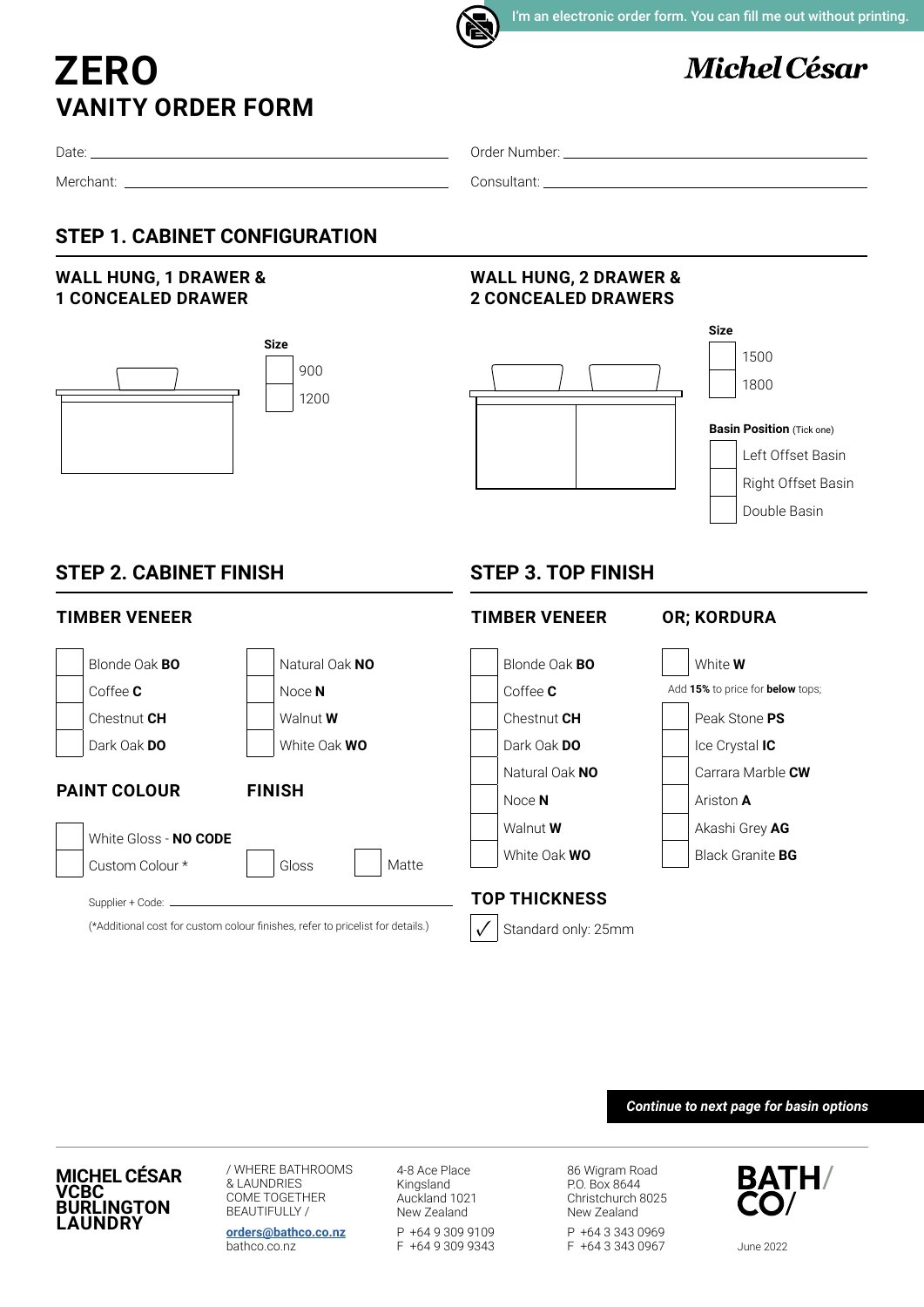# **VANITY ORDER FORM ZERO**

# **Michel César**

1500 1800

**Basin Position** (Tick one)

Left Offset Basin Right Offset Basin

Double Basin

**Size**

Date:

Merchant:

Order Number:

**WALL HUNG, 2 DRAWER & 2 CONCEALED DRAWERS**

Consultant:

## **STEP 1. CABINET CONFIGURATION**

### **WALL HUNG, 1 DRAWER & 1 CONCEALED DRAWER**



## **STEP 2. CABINET FINISH**

### **TIMBER VENEER**

#### Blonde Oak **BO** Natural Oak NO Coffee **C**  $\qquad \qquad \qquad$  Noce **N** Chestnut **CH** Walnut **W** Dark Oak **DO** White Oak **WO PAINT COLOUR FINISH** White Gloss - **NO CODE** Custom Colour \* | Gloss Supplier + Code: -(\*Additional cost for custom colour finishes, refer to pricelist for details.) Matte Blonde Oak **BO** White **W** Coffee **C** Add **15%** to price for **below** tops; Chestnut **CH Peak Stone PS** Dark Oak **DO I I** Lee Crystal **IC** Natural Oak NO **Carrara Marble CW** Noce **N** Ariston **A** Walnut **W** Akashi Grey AG White Oak **WO Black Granite BG TOP THICKNESS** Standard only: 25mm ✓

# *Continue to next page for basin options*

**MICHEL CÉSAR VCBC BURLINGTON LAUNDRY**

/ WHERE BATHROOMS & LAUNDRIES COME TOGETHER BEAUTIFULLY / **[orders@bathco.co.nz](mailto:orders%40bathco.co.nz%0D?subject=Order%20Form)**

bathco.co.nz

4-8 Ace Place Kingsland Auckland 1021 New Zealand P +64 9 309 9109 F +64 9 309 9343

86 Wigram Road P.O. Box 8644 Christchurch 8025 New Zealand P +64 3 343 0969 F +64 3 343 0967

**TIMBER VENEER OR; KORDURA**

**STEP 3. TOP FINISH**



June 2022